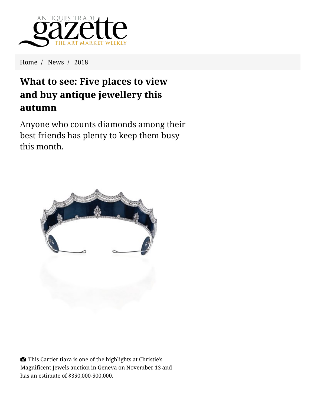

Home / News / 2018

## **What to see: Five places to view and buy antique jewellery this autumn**

Anyone who counts diamonds among their [best friends has plenty to keep them busy](https://www.antiquestradegazette.com/cookie-policy/) this month.



 This Cartier tiara is one of the highlights at Christie's Magnificent Jewels auction in Geneva on November 13 and has an estimate of \$350,000-500,000.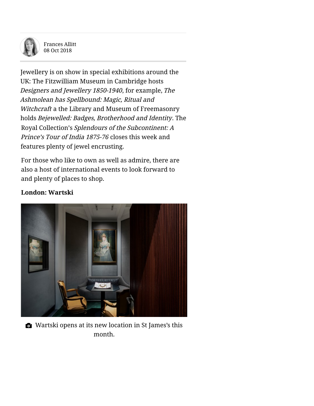

Frances Allitt 08 Oct 2018

J[ewellery is on show in special exhibitions around the](https://gazette-eu-west.azureedge.net/media/34243/2363-jewellery-christies-tiara-08-10-18.jpg)  UK: The Fitzwilliam Museum in Cambridge hosts Designers and Jewellery 1850-1940, for example, The Ashmolean has Spellbound: Magic, Ritual and Witchcraft a the Library and Museum of Freemasonry holds Bejewelled: Badges, Brotherhood and Identity. The Royal Collection's Splendours of the Subcontinent: A Prince's Tour of India 1875-76 closes this week and features plenty of jewel encrusting.

For those who like to own as well as admire, there are also a host of international events to look forward to and plenty of places to shop.

## **London: Wartski**



Wartski opens at its new location in St James's this month.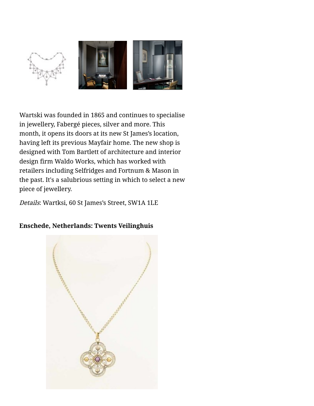

Wartski was founded in 1865 and continues to specialise in jewellery, Fabergé pieces, silver and more. This month, it opens its doors at its [new St James's location,](https://www.antiquestradegazette.com/news/2018/wartski-to-move-south-in-the-summer-to-st-james-s/) having left its previous Mayfair home. The new shop is designed with Tom Bartlett of architecture and interior design firm Waldo Works, which has worked with [retaile](https://www.antiquestradegazette.com/news/2018/what-to-see-five-places-to-view-and-buy-antique-jewellery-this-autumn/)rs including Selfridges and Fortnum & Mason in [t](https://www.antiquestradegazette.com/news/2018/what-to-see-five-places-to-view-and-buy-antique-jewellery-this-autumn/)[he past. It's a salubrious setting in which to select a new](https://gazette-eu-west.azureedge.net/media/34251/2363-where-jewellery-wartski-2-08-10-18.jpg) piece of jewellery.

Details: Wartksi, 60 St James's Street, SW1A 1LE

## **Enschede, Netherlands: Twents Veilinghuis**

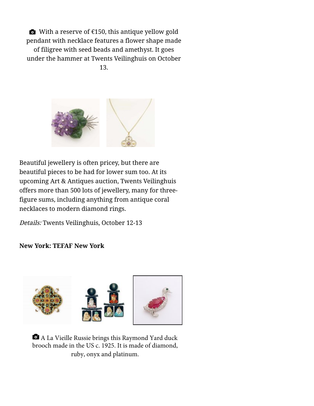With a reserve of  $E$ 150, this antique yellow gold pendant with necklace features a flower shape made of filigree with seed beads and amethyst. It goes under the hammer at Twents Veilinghuis on October

13.



Beautiful [jewellery is often pricey, but there are](https://gazette-eu-west.azureedge.net/media/34249/2363-where-jewellery-twents-08-10-18.jpg) beautiful pieces to be had for lower sum too. At its upcoming Art & Antiques auction, Twents Veilinghuis [offers more than 500 lots of jewellery, many for three](https://www.antiquestradegazette.com/news/2018/what-to-see-five-places-to-view-and-buy-antique-jewellery-this-autumn/)figure sums, including anything from antique coral necklaces to modern diamond rings.

Details: Twents Veilinghuis, October 12-13

**[New Y](https://www.antiquestradegazette.com/news/2018/what-to-see-five-places-to-view-and-buy-antique-jewellery-this-autumn/)ork: TEFAF New York**



 A La Vieille Russie brings this Raymond Yard duck brooch made in the US c. 1925. It is made of diamond, ruby, onyx and platinum.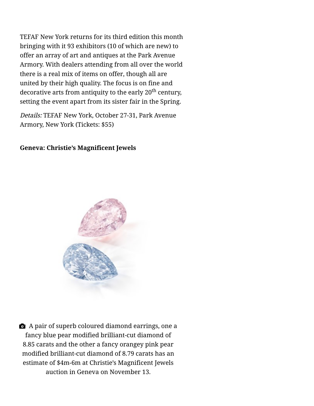TEFAF New York returns for its third edition this month bringing with it 93 exhibitors (10 of which are new) to offer [an array of art and antiques](https://www.antiquestradegazette.com/news/2018/five-highlight-coming-to-tefaf-new-york-2018/) at the Park Avenue Armory. With dealers attending from all over the world there is a real mix of items on offer, though all are united by their high quality. The focus is on fine and decorative arts from antiquity to the early 20<sup>th</sup> century, setting the event apart from its sister fair in the Spring.

Details: TEFAF New York, October 27-31, Park Avenue Armory, New York (Tickets: \$55)

## **Geneva: Christie's Magnificent Jewels**



 $\bullet$  A pair of superb coloured diamond earrings, one a fancy blue pear modified brilliant-cut diamond of 8.85 carats and the other a fancy orangey pink pear [modified brilliant-cut diamond of 8.79 carats has an](https://www.antiquestradegazette.com/news/2018/what-to-see-five-places-to-view-and-buy-antique-jewellery-this-autumn/) estimate of \$4m-6m at Christie's Magnificent Jewels auction in Geneva on November 13.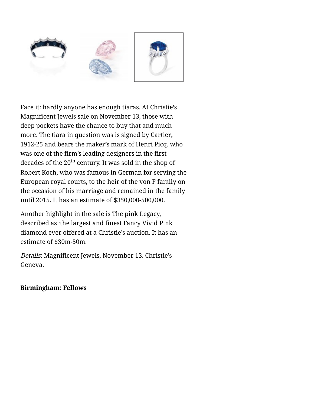

Face it: hardly anyone has enough tiaras. At Christie's Magnificent Jewels sale on November 13, those with deep pockets have the chance to buy that and much more. The tiara in question was is signed by Cartier, 1912-25 and bears the maker's mark of Henri Picq, who was one of the firm's leading designers in the first [decades](https://www.antiquestradegazette.com/news/2018/what-to-see-five-places-to-view-and-buy-antique-jewellery-this-autumn/) of the  $20<sup>th</sup>$  century. It was sold in the sh[op of](https://www.antiquestradegazette.com/news/2018/what-to-see-five-places-to-view-and-buy-antique-jewellery-this-autumn/) Robert Koch, who was famous in German for serving the European royal courts, to the heir of the von F family on the occasion of his marriage and remained in the family until 2015. It has an estimate of \$350,000-500,000.

Another highlight in the sale is The pink Legacy, described as 'the largest and finest Fancy Vivid Pink diamond ever offered at a Christie's auction. It has an estimate of \$30m-50m.

Details: Magnificent Jewels, November 13. Christie's Geneva.

**Birmingham: Fellows**